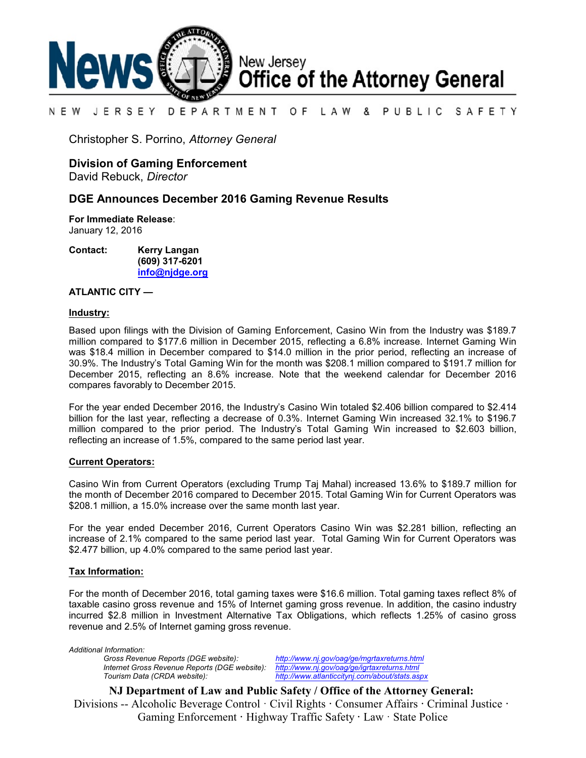

#### N E W JERSEY DEPARTMENT OF LAW & PUBLIC SAFETY

Christopher S. Porrino, *Attorney General*

## **Division of Gaming Enforcement**

David Rebuck, *Director*

### **DGE Announces December 2016 Gaming Revenue Results**

**For Immediate Release**: January 12, 2016

**Contact: Kerry Langan (609) 317-6201 [info@njdge.org](file:///|//info@njdge.org)**

#### **ATLANTIC CITY —**

#### **Industry:**

Based upon filings with the Division of Gaming Enforcement, Casino Win from the Industry was \$189.7 million compared to \$177.6 million in December 2015, reflecting a 6.8% increase. Internet Gaming Win was \$18.4 million in December compared to \$14.0 million in the prior period, reflecting an increase of 30.9%. The Industry's Total Gaming Win for the month was \$208.1 million compared to \$191.7 million for December 2015, reflecting an 8.6% increase. Note that the weekend calendar for December 2016 compares favorably to December 2015.

For the year ended December 2016, the Industry's Casino Win totaled \$2.406 billion compared to \$2.414 billion for the last year, reflecting a decrease of 0.3%. Internet Gaming Win increased 32.1% to \$196.7 million compared to the prior period. The Industry's Total Gaming Win increased to \$2.603 billion, reflecting an increase of 1.5%, compared to the same period last year.

### **Current Operators:**

Casino Win from Current Operators (excluding Trump Taj Mahal) increased 13.6% to \$189.7 million for the month of December 2016 compared to December 2015. Total Gaming Win for Current Operators was \$208.1 million, a 15.0% increase over the same month last year.

For the year ended December 2016, Current Operators Casino Win was \$2.281 billion, reflecting an increase of 2.1% compared to the same period last year. Total Gaming Win for Current Operators was \$2.477 billion, up 4.0% compared to the same period last year.

### **Tax Information:**

For the month of December 2016, total gaming taxes were \$16.6 million. Total gaming taxes reflect 8% of taxable casino gross revenue and 15% of Internet gaming gross revenue. In addition, the casino industry incurred \$2.8 million in Investment Alternative Tax Obligations, which reflects 1.25% of casino gross revenue and 2.5% of Internet gaming gross revenue.

*Additional Information: Internet Gross Revenue Reports (DGE website): Tourism Data (CRDA website): <http://www.atlanticcitynj.com/about/stats.aspx>*

*Gross Revenue Reports (DGE website): <http://www.nj.gov/oag/ge/mgrtaxreturns.html>*

**NJ Department of Law and Public Safety / Office of the Attorney General:** Divisions -- Alcoholic Beverage Control · Civil Rights · Consumer Affairs · Criminal Justice · Gaming Enforcement **·** Highway Traffic Safety **·** Law · State Police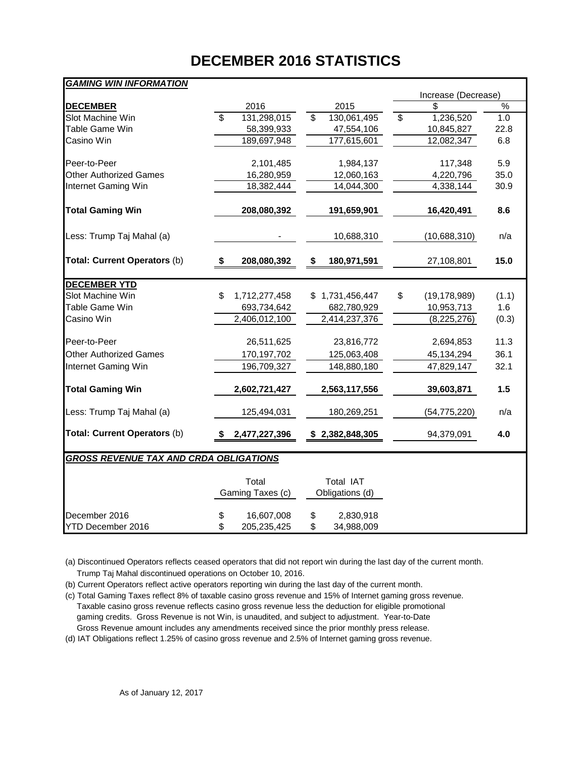# **DECEMBER 2016 STATISTICS**

# *GAMING WIN INFORMATION* Increase (Decrease) **DECEMBER** 2016 2015 \$ % Slot Machine Win **\$ 131,298,015** \$ 130,061,495 \$ 1,236,520 1.0 Table Game Win 58,399,933 47,554,106 10,845,827 22.8 Casino Win **189,697,948** 177,615,601 12,082,347 6.8 Peer-to-Peer 2,101,485 1,984,137 117,348 5.9 Other Authorized Games 16,280,959 12,060,163 4,220,796 35.0 Internet Gaming Win 18,382,444 14,044,300 4,338,144 30.9 **Total Gaming Win 208,080,392 191,659,901 16,420,491 8.6** Less: Trump Taj Mahal (a) - 10,688,310 (10,688,310) n/a **Total: Current Operators** (b) **\$ 208,080,392 \$ 180,971,591** 27,108,801 **15.0 DECEMBER YTD** Slot Machine Win \$ 1,712,277,458 \$ 1,731,456,447 \$ (19,178,989) (1.1) Table Game Win 693,734,642 682,780,929 10,953,713 1.6 Casino Win 2,406,012,100 2,414,237,376 (8,225,276) (0.3) Peer-to-Peer 26,511,625 23,816,772 2,694,853 11.3 Other Authorized Games 170,197,702 125,063,408 45,134,294 36.1 Internet Gaming Win 196,709,327 148,880,180 47,829,147 32.1 **Total Gaming Win 2,602,721,427 2,563,117,556 39,603,871 1.5** Less: Trump Taj Mahal (a) 125,494,031 180,269,251 (54,775,220) n/a **Total: Current Operators** (b) **\$ 2,477,227,396 \$ 2,382,848,305** 94,379,091 **4.0** *GROSS REVENUE TAX AND CRDA OBLIGATIONS* Total Total IAT Gaming Taxes (c) Obligations (d) December 2016 \$ 16,607,008 \$ 2,830,918 YTD December 2016 <br>
\$ 205,235,425 \$ 34,988,009

(a) Discontinued Operators reflects ceased operators that did not report win during the last day of the current month. Trump Taj Mahal discontinued operations on October 10, 2016.

(b) Current Operators reflect active operators reporting win during the last day of the current month.

(c) Total Gaming Taxes reflect 8% of taxable casino gross revenue and 15% of Internet gaming gross revenue. Taxable casino gross revenue reflects casino gross revenue less the deduction for eligible promotional gaming credits. Gross Revenue is not Win, is unaudited, and subject to adjustment. Year-to-Date Gross Revenue amount includes any amendments received since the prior monthly press release.

(d) IAT Obligations reflect 1.25% of casino gross revenue and 2.5% of Internet gaming gross revenue.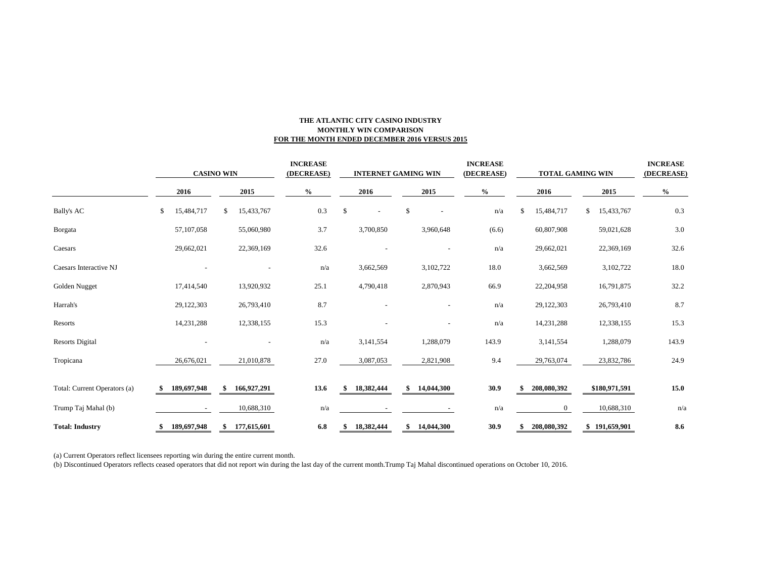#### **THE ATLANTIC CITY CASINO INDUSTRY MONTHLY WIN COMPARISON FOR THE MONTH ENDED DECEMBER 2016 VERSUS 2015**

|                              | <b>CASINO WIN</b> |             |    |             | <b>INCREASE</b><br>(DECREASE) |      | <b>INTERNET GAMING WIN</b> |                |     |            | <b>INCREASE</b><br>(DECREASE) |       | <b>TOTAL GAMING WIN</b> |              |    | <b>INCREASE</b><br>(DECREASE) |       |
|------------------------------|-------------------|-------------|----|-------------|-------------------------------|------|----------------------------|----------------|-----|------------|-------------------------------|-------|-------------------------|--------------|----|-------------------------------|-------|
|                              |                   | 2016        |    | 2015        | $\%$                          |      |                            | 2016           |     | 2015       |                               | $\%$  |                         | 2016         |    | 2015                          | $\%$  |
| <b>Bally's AC</b>            | \$                | 15,484,717  | \$ | 15,433,767  |                               | 0.3  | $\mathbb{S}$               | $\blacksquare$ | \$  |            |                               | n/a   | <sup>\$</sup>           | 15,484,717   | \$ | 15,433,767                    | 0.3   |
| Borgata                      |                   | 57,107,058  |    | 55,060,980  |                               | 3.7  |                            | 3,700,850      |     | 3,960,648  |                               | (6.6) |                         | 60,807,908   |    | 59,021,628                    | 3.0   |
| Caesars                      |                   | 29,662,021  |    | 22,369,169  |                               | 32.6 |                            |                |     |            |                               | n/a   |                         | 29,662,021   |    | 22,369,169                    | 32.6  |
| Caesars Interactive NJ       |                   |             |    |             |                               | n/a  |                            | 3,662,569      |     | 3,102,722  |                               | 18.0  |                         | 3,662,569    |    | 3,102,722                     | 18.0  |
| Golden Nugget                |                   | 17,414,540  |    | 13,920,932  |                               | 25.1 |                            | 4,790,418      |     | 2,870,943  |                               | 66.9  |                         | 22,204,958   |    | 16,791,875                    | 32.2  |
| Harrah's                     |                   | 29,122,303  |    | 26,793,410  |                               | 8.7  |                            |                |     |            |                               | n/a   |                         | 29,122,303   |    | 26,793,410                    | 8.7   |
| Resorts                      |                   | 14,231,288  |    | 12,338,155  |                               | 15.3 |                            |                |     |            |                               | n/a   |                         | 14,231,288   |    | 12,338,155                    | 15.3  |
| Resorts Digital              |                   |             |    |             |                               | n/a  |                            | 3,141,554      |     | 1,288,079  |                               | 143.9 |                         | 3,141,554    |    | 1,288,079                     | 143.9 |
| Tropicana                    |                   | 26,676,021  |    | 21,010,878  |                               | 27.0 |                            | 3,087,053      |     | 2,821,908  |                               | 9.4   |                         | 29,763,074   |    | 23,832,786                    | 24.9  |
| Total: Current Operators (a) |                   | 189,697,948 |    | 166,927,291 |                               | 13.6 |                            | 18,382,444     | -SS | 14,044,300 |                               | 30.9  |                         | 208,080,392  |    | \$180,971,591                 | 15.0  |
| Trump Taj Mahal (b)          |                   |             |    | 10,688,310  |                               | n/a  |                            |                |     |            |                               | n/a   |                         | $\mathbf{0}$ |    | 10,688,310                    | n/a   |
| <b>Total: Industry</b>       |                   | 189,697,948 | S  | 177,615,601 |                               | 6.8  |                            | 18,382,444     | S   | 14,044,300 |                               | 30.9  |                         | 208,080,392  |    | \$191,659,901                 | 8.6   |

(a) Current Operators reflect licensees reporting win during the entire current month.

(b) Discontinued Operators reflects ceased operators that did not report win during the last day of the current month.Trump Taj Mahal discontinued operations on October 10, 2016.